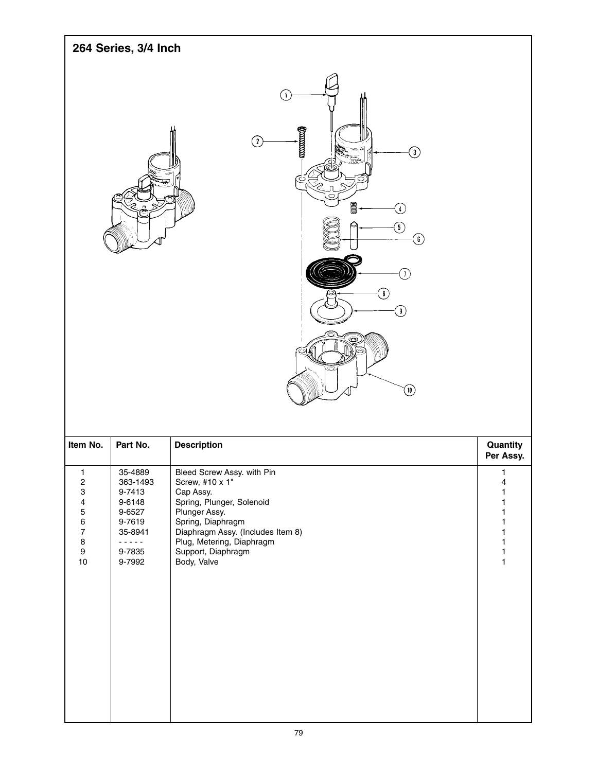| 264 Series, 3/4 Inch |                                                                                                                                                                                                                                               |
|----------------------|-----------------------------------------------------------------------------------------------------------------------------------------------------------------------------------------------------------------------------------------------|
| ė                    | -1<br>$\min$<br>②<br>ك<br>ū<br>$T_{\frac{1}{2040}}$<br>◠<br><b>and</b><br>$\bigoplus$<br>$\circledS$<br>$\bigcirc$<br>$\widehat{J}$<br>$\textcircled{\scriptsize{s}}$<br>$\textcircled{\scriptsize 9}$<br>ç.<br>O<br>$\textcircled{\tiny{1}}$ |

| Item No.                  | Part No. | <b>Description</b>                | Quantity<br>Per Assy. |
|---------------------------|----------|-----------------------------------|-----------------------|
| 1                         | 35-4889  | Bleed Screw Assy. with Pin        | 1                     |
| $\overline{c}$            | 363-1493 | Screw, #10 x 1"                   | 4                     |
| $\ensuremath{\mathsf{3}}$ | 9-7413   | Cap Assy.                         |                       |
| 4                         | 9-6148   | Spring, Plunger, Solenoid         |                       |
| $\mathbf 5$               | 9-6527   | Plunger Assy.                     |                       |
| 6                         | 9-7619   | Spring, Diaphragm                 |                       |
| $\overline{7}$            | 35-8941  | Diaphragm Assy. (Includes Item 8) |                       |
| $\bf 8$                   | .        | Plug, Metering, Diaphragm         |                       |
| $\boldsymbol{9}$          | 9-7835   | Support, Diaphragm                |                       |
| 10                        | 9-7992   | Body, Valve                       | 1                     |
|                           |          |                                   |                       |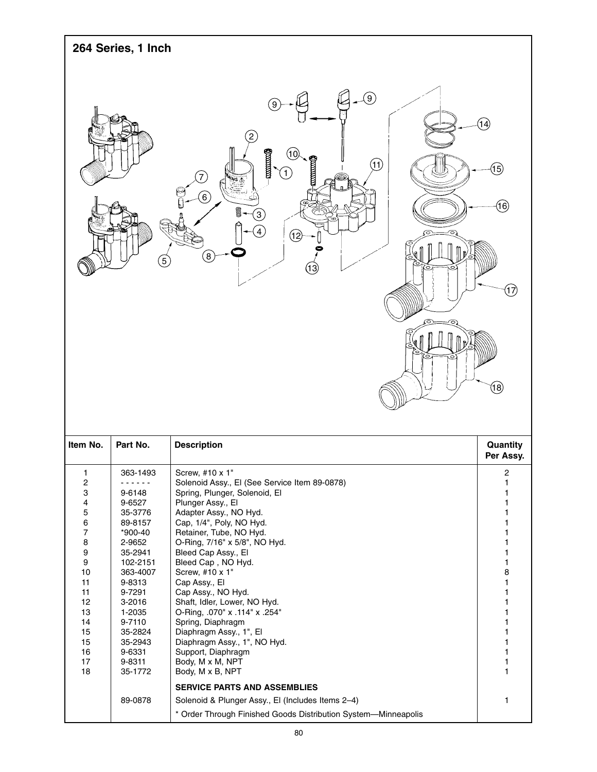|                                                                                                                                                                                | 264 Series, 1 Inch                                                                                                                                                                                                     |                                                                                                                                                                                                                                                                                                                                                                                                                                                                                                                                                                                                       |                                                                                                                  |
|--------------------------------------------------------------------------------------------------------------------------------------------------------------------------------|------------------------------------------------------------------------------------------------------------------------------------------------------------------------------------------------------------------------|-------------------------------------------------------------------------------------------------------------------------------------------------------------------------------------------------------------------------------------------------------------------------------------------------------------------------------------------------------------------------------------------------------------------------------------------------------------------------------------------------------------------------------------------------------------------------------------------------------|------------------------------------------------------------------------------------------------------------------|
|                                                                                                                                                                                | $\left(5\right)$                                                                                                                                                                                                       | $\circled{0}$<br>9<br>munu<br>1 C<br>(11)<br>7<br><b>VING A</b><br>$\left( 6\right)$<br>8<br>$\mathbf{3}$<br>4<br>ઉછે<br>n.<br>$\left[8\right]$                                                                                                                                                                                                                                                                                                                                                                                                                                                       | (14)<br>(15)<br>(16)<br>(17)<br>(18)                                                                             |
| Item No.                                                                                                                                                                       | Part No.                                                                                                                                                                                                               | <b>Description</b>                                                                                                                                                                                                                                                                                                                                                                                                                                                                                                                                                                                    | Quantity<br>Per Assy.                                                                                            |
| 1<br>$\overline{\mathbf{c}}$<br>3<br>4<br>5<br>6<br>$\overline{\mathcal{I}}$<br>8<br>9<br>$\boldsymbol{9}$<br>$10$<br>11<br>11<br>12<br>13<br>14<br>15<br>15<br>16<br>17<br>18 | 363-1493<br>.<br>9-6148<br>9-6527<br>35-3776<br>89-8157<br>*900-40<br>2-9652<br>35-2941<br>102-2151<br>363-4007<br>9-8313<br>9-7291<br>3-2016<br>1-2035<br>9-7110<br>35-2824<br>35-2943<br>9-6331<br>9-8311<br>35-1772 | Screw, #10 x 1"<br>Solenoid Assy., El (See Service Item 89-0878)<br>Spring, Plunger, Solenoid, El<br>Plunger Assy., El<br>Adapter Assy., NO Hyd.<br>Cap, 1/4", Poly, NO Hyd.<br>Retainer, Tube, NO Hyd.<br>O-Ring, 7/16" x 5/8", NO Hyd.<br>Bleed Cap Assy., El<br>Bleed Cap, NO Hyd.<br>Screw, #10 x 1"<br>Cap Assy., El<br>Cap Assy., NO Hyd.<br>Shaft, Idler, Lower, NO Hyd.<br>O-Ring, .070" x .114" x .254"<br>Spring, Diaphragm<br>Diaphragm Assy., 1", El<br>Diaphragm Assy., 1", NO Hyd.<br>Support, Diaphragm<br>Body, M x M, NPT<br>Body, M x B, NPT<br><b>SERVICE PARTS AND ASSEMBLIES</b> | 2<br>1<br>1<br>1<br>1<br>1<br>1<br>1<br>1<br>1<br>8<br>1<br>1<br>1<br>1<br>1<br>1<br>1<br>1<br>1<br>$\mathbf{1}$ |
|                                                                                                                                                                                | 89-0878                                                                                                                                                                                                                | Solenoid & Plunger Assy., El (Includes Items 2-4)<br>* Order Through Finished Goods Distribution System-Minneapolis                                                                                                                                                                                                                                                                                                                                                                                                                                                                                   | 1                                                                                                                |

 $\overline{\phantom{a}}$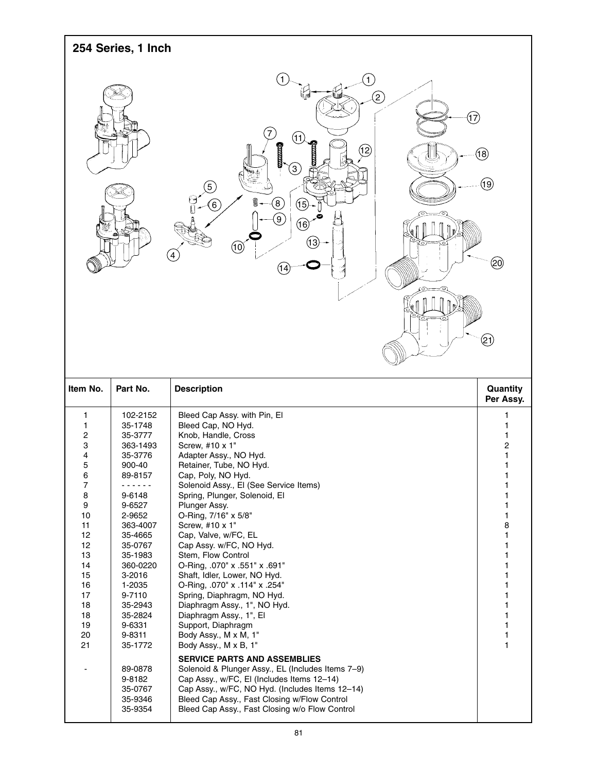| 254 Series, 1 Inch                                                                                                                     |                                                                                                                                                                                                                                                                                                                      |                                                                                                                                                                                                                                                                                                                                                                                                                                                                                                                                                                                                                                                                                                                                                                                                                                                                                                                                                           |                                                                                                       |
|----------------------------------------------------------------------------------------------------------------------------------------|----------------------------------------------------------------------------------------------------------------------------------------------------------------------------------------------------------------------------------------------------------------------------------------------------------------------|-----------------------------------------------------------------------------------------------------------------------------------------------------------------------------------------------------------------------------------------------------------------------------------------------------------------------------------------------------------------------------------------------------------------------------------------------------------------------------------------------------------------------------------------------------------------------------------------------------------------------------------------------------------------------------------------------------------------------------------------------------------------------------------------------------------------------------------------------------------------------------------------------------------------------------------------------------------|-------------------------------------------------------------------------------------------------------|
|                                                                                                                                        |                                                                                                                                                                                                                                                                                                                      | $\left(1\right)$<br>$\mathbf{1}$<br>E<br>(17)<br>(11)<br>mund<br>(12)<br>i<br>U<br>$\left(3\right)$<br>$\left(5\right)$<br>$\left( 8\right)$<br>$\left( 15\right)$<br>(6)<br>$\left( 9\right)$<br>$\circledast$<br>(13)<br>(10)<br>4<br>(14)                                                                                                                                                                                                                                                                                                                                                                                                                                                                                                                                                                                                                                                                                                              | (18<br>$\left( 9\right)$<br>(න)<br>(21)                                                               |
| Item No.                                                                                                                               | Part No.                                                                                                                                                                                                                                                                                                             | <b>Description</b>                                                                                                                                                                                                                                                                                                                                                                                                                                                                                                                                                                                                                                                                                                                                                                                                                                                                                                                                        | Quantity<br>Per Assy.                                                                                 |
| 1<br>1<br>2<br>3<br>4<br>5<br>6<br>7<br>8<br>9<br>10<br>11<br>12<br>12<br>13<br>14<br>15<br>16<br>17<br>18<br>18<br>19<br>$20\,$<br>21 | 102-2152<br>35-1748<br>35-3777<br>363-1493<br>35-3776<br>900-40<br>89-8157<br>------<br>9-6148<br>9-6527<br>2-9652<br>363-4007<br>35-4665<br>35-0767<br>35-1983<br>360-0220<br>3-2016<br>1-2035<br>9-7110<br>35-2943<br>35-2824<br>9-6331<br>9-8311<br>35-1772<br>89-0878<br>9-8182<br>35-0767<br>35-9346<br>35-9354 | Bleed Cap Assy. with Pin, El<br>Bleed Cap, NO Hyd.<br>Knob, Handle, Cross<br>Screw, #10 x 1"<br>Adapter Assy., NO Hyd.<br>Retainer, Tube, NO Hyd.<br>Cap, Poly, NO Hyd.<br>Solenoid Assy., El (See Service Items)<br>Spring, Plunger, Solenoid, El<br>Plunger Assy.<br>O-Ring, 7/16" x 5/8"<br>Screw, #10 x 1"<br>Cap, Valve, w/FC, EL<br>Cap Assy. w/FC, NO Hyd.<br>Stem, Flow Control<br>O-Ring, .070" x .551" x .691"<br>Shaft, Idler, Lower, NO Hyd.<br>O-Ring, .070" x .114" x .254"<br>Spring, Diaphragm, NO Hyd.<br>Diaphragm Assy., 1", NO Hyd.<br>Diaphragm Assy., 1", El<br>Support, Diaphragm<br>Body Assy., M x M, 1"<br>Body Assy., M x B, 1"<br><b>SERVICE PARTS AND ASSEMBLIES</b><br>Solenoid & Plunger Assy., EL (Includes Items 7-9)<br>Cap Assy., w/FC, El (Includes Items 12-14)<br>Cap Assy., w/FC, NO Hyd. (Includes Items 12-14)<br>Bleed Cap Assy., Fast Closing w/Flow Control<br>Bleed Cap Assy., Fast Closing w/o Flow Control | 1<br>1<br>1<br>2<br>1<br>1<br>1<br>1<br>8<br>1<br>1<br>1<br>1<br>1<br>1<br>1<br>1<br>1<br>1<br>1<br>1 |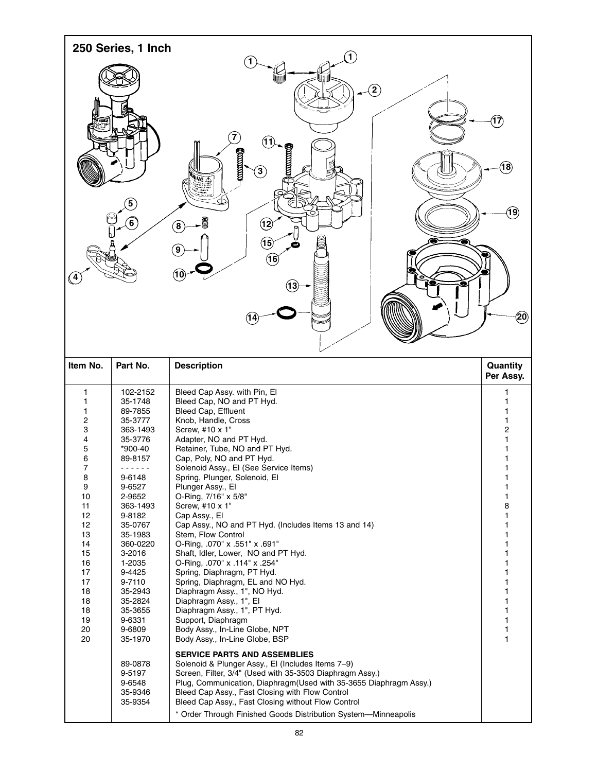|                                                                                                                                                                  | 250 Series, 1 Inch                                                                                                                                                                                                                                                                                                                                    |                                                                                                                                                                                                                                                                                                                                                                                                                                                                                                                                                                                                                                                                                                                                                                                                                                                                                                                                                                                                                                                                                                                                                                                                                                          |                                                                                                                      |
|------------------------------------------------------------------------------------------------------------------------------------------------------------------|-------------------------------------------------------------------------------------------------------------------------------------------------------------------------------------------------------------------------------------------------------------------------------------------------------------------------------------------------------|------------------------------------------------------------------------------------------------------------------------------------------------------------------------------------------------------------------------------------------------------------------------------------------------------------------------------------------------------------------------------------------------------------------------------------------------------------------------------------------------------------------------------------------------------------------------------------------------------------------------------------------------------------------------------------------------------------------------------------------------------------------------------------------------------------------------------------------------------------------------------------------------------------------------------------------------------------------------------------------------------------------------------------------------------------------------------------------------------------------------------------------------------------------------------------------------------------------------------------------|----------------------------------------------------------------------------------------------------------------------|
| (4)                                                                                                                                                              | $\overline{5}$<br>$6 \overline{6}$                                                                                                                                                                                                                                                                                                                    | 1<br>$\circled{2}$<br>7<br>(11<br><b>CONTINUES</b><br>ğ<br>$\mathbf{3}$<br><b>ANING AS</b><br>S<br>$\bf \Omega$<br>$\left( \mathbf{8}\right)$<br>$\mathbf{\widehat{15}}$<br>9<br>(16)<br>$({\bf 13})$                                                                                                                                                                                                                                                                                                                                                                                                                                                                                                                                                                                                                                                                                                                                                                                                                                                                                                                                                                                                                                    | $(\widehat{\mathsf{T7}})$<br>$({\bf 18})$<br>$({\bf 19})$<br>$\left( 50 \right)$                                     |
| Item No.                                                                                                                                                         | Part No.                                                                                                                                                                                                                                                                                                                                              | <b>Description</b>                                                                                                                                                                                                                                                                                                                                                                                                                                                                                                                                                                                                                                                                                                                                                                                                                                                                                                                                                                                                                                                                                                                                                                                                                       | Quantity<br>Per Assy.                                                                                                |
| 1<br>1<br>1<br>2<br>3<br>4<br>5<br>6<br>$\overline{7}$<br>8<br>9<br>10<br>11<br>12<br>12<br>13<br>14<br>15<br>16<br>17<br>17<br>18<br>18<br>18<br>19<br>20<br>20 | 102-2152<br>35-1748<br>89-7855<br>35-3777<br>363-1493<br>35-3776<br>*900-40<br>89-8157<br><u>.</u><br>9-6148<br>9-6527<br>2-9652<br>363-1493<br>9-8182<br>35-0767<br>35-1983<br>360-0220<br>3-2016<br>1-2035<br>9-4425<br>9-7110<br>35-2943<br>35-2824<br>35-3655<br>9-6331<br>9-6809<br>35-1970<br>89-0878<br>9-5197<br>9-6548<br>35-9346<br>35-9354 | Bleed Cap Assy. with Pin, El<br>Bleed Cap, NO and PT Hyd.<br>Bleed Cap, Effluent<br>Knob, Handle, Cross<br>Screw, #10 x 1"<br>Adapter, NO and PT Hyd.<br>Retainer, Tube, NO and PT Hyd.<br>Cap, Poly, NO and PT Hyd.<br>Solenoid Assy., El (See Service Items)<br>Spring, Plunger, Solenoid, El<br>Plunger Assy., El<br>O-Ring, 7/16" x 5/8"<br>Screw, #10 x 1"<br>Cap Assy., El<br>Cap Assy., NO and PT Hyd. (Includes Items 13 and 14)<br>Stem, Flow Control<br>O-Ring, .070" x .551" x .691"<br>Shaft, Idler, Lower, NO and PT Hyd.<br>O-Ring, .070" x .114" x .254"<br>Spring, Diaphragm, PT Hyd.<br>Spring, Diaphragm, EL and NO Hyd.<br>Diaphragm Assy., 1", NO Hyd.<br>Diaphragm Assy., 1", El<br>Diaphragm Assy., 1", PT Hyd.<br>Support, Diaphragm<br>Body Assy., In-Line Globe, NPT<br>Body Assy., In-Line Globe, BSP<br><b>SERVICE PARTS AND ASSEMBLIES</b><br>Solenoid & Plunger Assy., El (Includes Items 7-9)<br>Screen, Filter, 3/4" (Used with 35-3503 Diaphragm Assy.)<br>Plug, Communication, Diaphragm (Used with 35-3655 Diaphragm Assy.)<br>Bleed Cap Assy., Fast Closing with Flow Control<br>Bleed Cap Assy., Fast Closing without Flow Control<br>* Order Through Finished Goods Distribution System-Minneapolis | 1<br>1<br>1<br>2<br>1<br>1<br>1<br>1<br>1<br>8<br>1<br>1<br>1<br>1<br>1<br>1<br>1<br>1<br>1<br>1<br>1<br>1<br>1<br>1 |